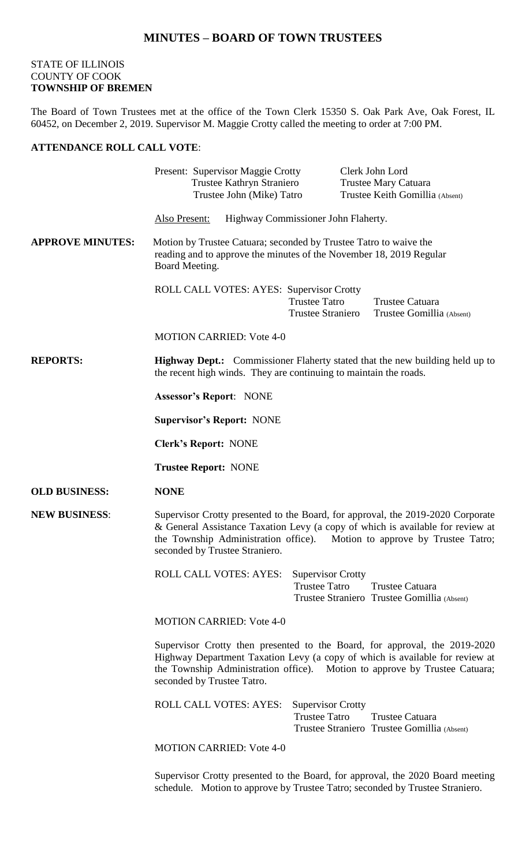## **MINUTES – BOARD OF TOWN TRUSTEES**

## STATE OF ILLINOIS COUNTY OF COOK **TOWNSHIP OF BREMEN**

The Board of Town Trustees met at the office of the Town Clerk 15350 S. Oak Park Ave, Oak Forest, IL 60452, on December 2, 2019. Supervisor M. Maggie Crotty called the meeting to order at 7:00 PM.

## **ATTENDANCE ROLL CALL VOTE**:

|                         | Present: Supervisor Maggie Crotty<br>Trustee Kathryn Straniero<br>Trustee John (Mike) Tatro                                                                                                                                                                                     |                                                  | Clerk John Lord<br>Trustee Mary Catuara<br>Trustee Keith Gomillia (Absent) |  |
|-------------------------|---------------------------------------------------------------------------------------------------------------------------------------------------------------------------------------------------------------------------------------------------------------------------------|--------------------------------------------------|----------------------------------------------------------------------------|--|
|                         | Highway Commissioner John Flaherty.<br>Also Present:                                                                                                                                                                                                                            |                                                  |                                                                            |  |
| <b>APPROVE MINUTES:</b> | Motion by Trustee Catuara; seconded by Trustee Tatro to waive the<br>reading and to approve the minutes of the November 18, 2019 Regular<br>Board Meeting.                                                                                                                      |                                                  |                                                                            |  |
|                         | ROLL CALL VOTES: AYES: Supervisor Crotty                                                                                                                                                                                                                                        | <b>Trustee Tatro</b><br><b>Trustee Straniero</b> | Trustee Catuara<br>Trustee Gomillia (Absent)                               |  |
|                         | <b>MOTION CARRIED: Vote 4-0</b>                                                                                                                                                                                                                                                 |                                                  |                                                                            |  |
| <b>REPORTS:</b>         | <b>Highway Dept.:</b> Commissioner Flaherty stated that the new building held up to<br>the recent high winds. They are continuing to maintain the roads.                                                                                                                        |                                                  |                                                                            |  |
|                         | <b>Assessor's Report: NONE</b>                                                                                                                                                                                                                                                  |                                                  |                                                                            |  |
|                         | <b>Supervisor's Report: NONE</b>                                                                                                                                                                                                                                                |                                                  |                                                                            |  |
|                         | <b>Clerk's Report: NONE</b>                                                                                                                                                                                                                                                     |                                                  |                                                                            |  |
|                         | <b>Trustee Report: NONE</b>                                                                                                                                                                                                                                                     |                                                  |                                                                            |  |
| <b>OLD BUSINESS:</b>    | <b>NONE</b>                                                                                                                                                                                                                                                                     |                                                  |                                                                            |  |
| <b>NEW BUSINESS:</b>    | Supervisor Crotty presented to the Board, for approval, the 2019-2020 Corporate<br>& General Assistance Taxation Levy (a copy of which is available for review at<br>the Township Administration office). Motion to approve by Trustee Tatro;<br>seconded by Trustee Straniero. |                                                  |                                                                            |  |
|                         | <b>ROLL CALL VOTES: AYES:</b>                                                                                                                                                                                                                                                   | <b>Supervisor Crotty</b><br><b>Trustee Tatro</b> | <b>Trustee Catuara</b><br>Trustee Straniero Trustee Gomillia (Absent)      |  |
|                         | <b>MOTION CARRIED: Vote 4-0</b>                                                                                                                                                                                                                                                 |                                                  |                                                                            |  |
|                         | Supervisor Crotty then presented to the Board, for approval, the 2019-2020<br>Highway Department Taxation Levy (a copy of which is available for review at<br>the Township Administration office). Motion to approve by Trustee Catuara;<br>seconded by Trustee Tatro.          |                                                  |                                                                            |  |
|                         | <b>ROLL CALL VOTES: AYES:</b>                                                                                                                                                                                                                                                   | <b>Supervisor Crotty</b><br><b>Trustee Tatro</b> | Trustee Catuara<br>Trustee Straniero Trustee Gomillia (Absent)             |  |
|                         | <b>MOTION CARRIED: Vote 4-0</b>                                                                                                                                                                                                                                                 |                                                  |                                                                            |  |

Supervisor Crotty presented to the Board, for approval, the 2020 Board meeting schedule. Motion to approve by Trustee Tatro; seconded by Trustee Straniero.